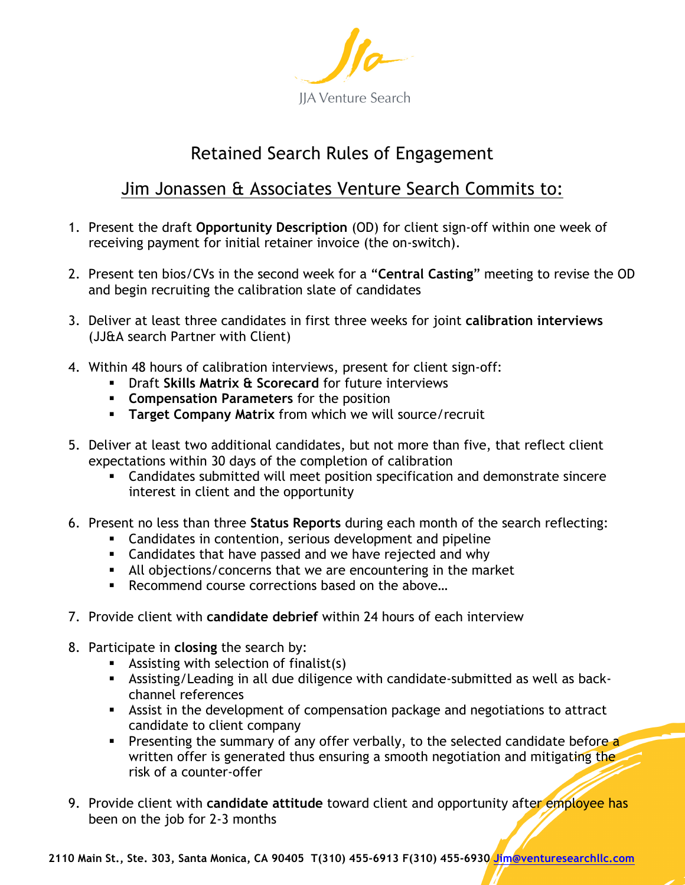

## Retained Search Rules of Engagement

## Jim Jonassen & Associates Venture Search Commits to:

- 1. Present the draft **Opportunity Description** (OD) for client sign-off within one week of receiving payment for initial retainer invoice (the on-switch).
- 2. Present ten bios/CVs in the second week for a "**Central Casting**" meeting to revise the OD and begin recruiting the calibration slate of candidates
- 3. Deliver at least three candidates in first three weeks for joint **calibration interviews** (JJ&A search Partner with Client)
- 4. Within 48 hours of calibration interviews, present for client sign-off:
	- § Draft **Skills Matrix & Scorecard** for future interviews
	- § **Compensation Parameters** for the position
	- **Target Company Matrix** from which we will source/recruit
- 5. Deliver at least two additional candidates, but not more than five, that reflect client expectations within 30 days of the completion of calibration
	- § Candidates submitted will meet position specification and demonstrate sincere interest in client and the opportunity
- 6. Present no less than three **Status Reports** during each month of the search reflecting:
	- Candidates in contention, serious development and pipeline
	- **Example 2** Candidates that have passed and we have rejected and why
	- § All objections/concerns that we are encountering in the market
	- **EXECOMMEND COULD EXECUTE CONTECTIONS DASED ON the above...**
- 7. Provide client with **candidate debrief** within 24 hours of each interview
- 8. Participate in **closing** the search by:
	- **EXECT:** Assisting with selection of finalist(s)
	- § Assisting/Leading in all due diligence with candidate-submitted as well as backchannel references
	- **EXTER** Assist in the development of compensation package and negotiations to attract candidate to client company
	- Presenting the summary of any offer verbally, to the selected candidate before a written offer is generated thus ensuring a smooth negotiation and mitigating the risk of a counter-offer
- 9. Provide client with **candidate attitude** toward client and opportunity after employee has been on the job for 2-3 months